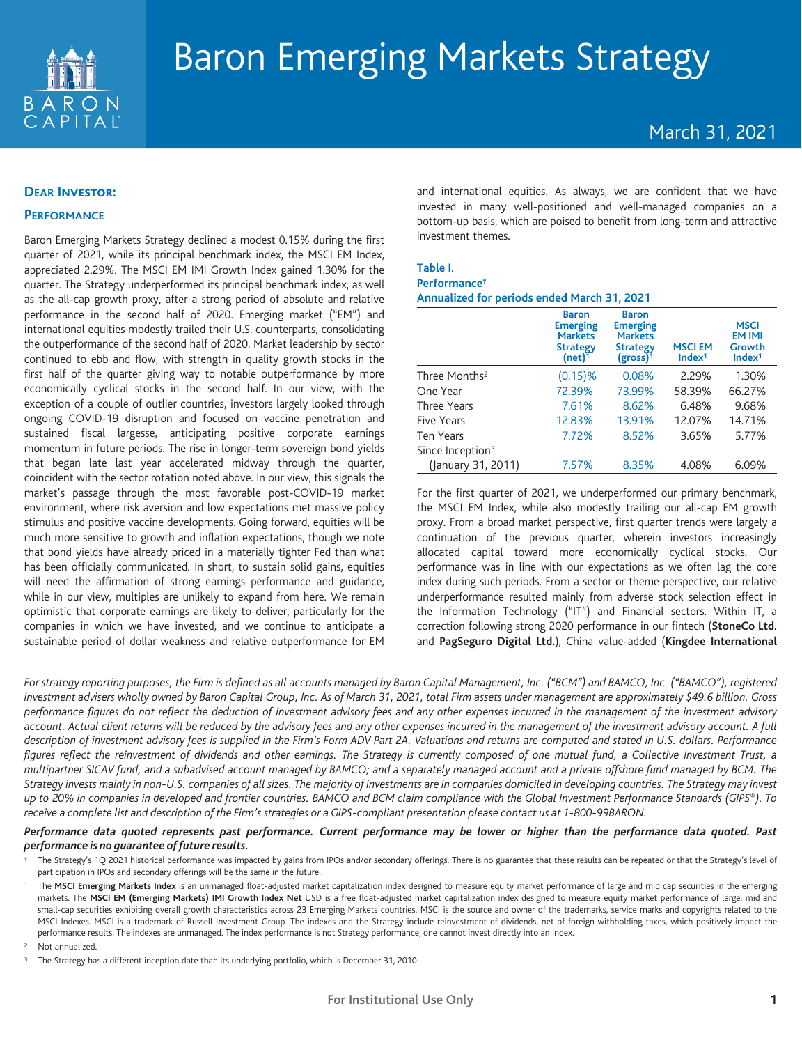

# March 31, 2021

## **DEAR Investor:**

## **PERFORMANCE**

Baron Emerging Markets Strategy declined a modest 0.15% during the first quarter of 2021, while its principal benchmark index, the MSCI EM Index, appreciated 2.29%. The MSCI EM IMI Growth Index gained 1.30% for the quarter. The Strategy underperformed its principal benchmark index, as well as the all-cap growth proxy, after a strong period of absolute and relative performance in the second half of 2020. Emerging market ("EM") and international equities modestly trailed their U.S. counterparts, consolidating the outperformance of the second half of 2020. Market leadership by sector continued to ebb and flow, with strength in quality growth stocks in the first half of the quarter giving way to notable outperformance by more economically cyclical stocks in the second half. In our view, with the exception of a couple of outlier countries, investors largely looked through ongoing COVID-19 disruption and focused on vaccine penetration and sustained fiscal largesse, anticipating positive corporate earnings momentum in future periods. The rise in longer-term sovereign bond yields that began late last year accelerated midway through the quarter, coincident with the sector rotation noted above. In our view, this signals the market's passage through the most favorable post-COVID-19 market environment, where risk aversion and low expectations met massive policy stimulus and positive vaccine developments. Going forward, equities will be much more sensitive to growth and inflation expectations, though we note that bond yields have already priced in a materially tighter Fed than what has been officially communicated. In short, to sustain solid gains, equities will need the affirmation of strong earnings performance and guidance, while in our view, multiples are unlikely to expand from here. We remain optimistic that corporate earnings are likely to deliver, particularly for the companies in which we have invested, and we continue to anticipate a sustainable period of dollar weakness and relative outperformance for EM

and international equities. As always, we are confident that we have invested in many well-positioned and well-managed companies on a bottom-up basis, which are poised to benefit from long-term and attractive investment themes.

## **Table I. Performance† Annualized for periods ended March 31, 2021**

|                              | <b>Baron</b><br><b>Emerging</b><br><b>Markets</b><br><b>Strategy</b><br>$(net)^1$ | <b>Baron</b><br><b>Emerging</b><br><b>Markets</b><br><b>Strategy</b><br>$(gross)^1$ | <b>MSCIEM</b><br>Index <sup>1</sup> | <b>MSCI</b><br><b>EM IMI</b><br>Growth<br>Index <sup>1</sup> |
|------------------------------|-----------------------------------------------------------------------------------|-------------------------------------------------------------------------------------|-------------------------------------|--------------------------------------------------------------|
| Three Months <sup>2</sup>    | $(0.15)$ %                                                                        | 0.08%                                                                               | 2.29%                               | 1.30%                                                        |
| One Year                     | 72.39%                                                                            | 73.99%                                                                              | 58.39%                              | 66.27%                                                       |
| Three Years                  | 7.61%                                                                             | 8.62%                                                                               | 6.48%                               | 9.68%                                                        |
| Five Years                   | 12.83%                                                                            | 13.91%                                                                              | 12.07%                              | 14.71%                                                       |
| <b>Ten Years</b>             | 7.72%                                                                             | 8.52%                                                                               | 3.65%                               | 5.77%                                                        |
| Since Inception <sup>3</sup> |                                                                                   |                                                                                     |                                     |                                                              |
| (January 31, 2011)           | 7.57%                                                                             | 8.35%                                                                               | 4.08%                               | 6.09%                                                        |

For the first quarter of 2021, we underperformed our primary benchmark, the MSCI EM Index, while also modestly trailing our all-cap EM growth proxy. From a broad market perspective, first quarter trends were largely a continuation of the previous quarter, wherein investors increasingly allocated capital toward more economically cyclical stocks. Our performance was in line with our expectations as we often lag the core index during such periods. From a sector or theme perspective, our relative underperformance resulted mainly from adverse stock selection effect in the Information Technology ("IT") and Financial sectors. Within IT, a correction following strong 2020 performance in our fintech (**StoneCo Ltd.** and **PagSeguro Digital Ltd.**), China value-added (**Kingdee International**

## Performance data quoted represents past performance. Current performance may be lower or higher than the performance data quoted. Past *performance is no guarantee offuture results.*

<sup>2</sup> Not annualized.

For strategy reporting purposes, the Firm is defined as all accounts managed by Baron Capital Management, Inc. ("BCM") and BAMCO, Inc. ("BAMCO"), registered investment advisers wholly owned by Baron Capital Group, Inc. As of March 31, 2021, total Firm assets under management are approximately \$49.6 billion. Gross performance figures do not reflect the deduction of investment advisory fees and any other expenses incurred in the management of the investment advisory account. Actual client returns will be reduced by the advisory fees and any other expenses incurred in the management of the investment advisory account. A full description of investment advisory fees is supplied in the Firm's Form ADV Part 2A. Valuations and returns are computed and stated in U.S. dollars. Performance figures reflect the reinvestment of dividends and other earnings. The Strategy is currently composed of one mutual fund, a Collective Investment Trust, a multipartner SICAV fund, and a subadvised account managed by BAMCO; and a separately managed account and a private offshore fund managed by BCM. The Strategy invests mainly in non-U.S. companies of all sizes. The majority of investments are in companies domiciled in developing countries. The Strategy may invest up to 20% in companies in developed and frontier countries. BAMCO and BCM claim compliance with the Global Investment Performance Standards (GIPS®). To receive a complete list and description of the Firm's strategies or a GIPS-compliant presentation please contact us at 1-800-99BARON.

<sup>†</sup> The Strategy's 1Q 2021 historical performance was impacted by gains from IPOs and/or secondary offerings. There is no guarantee that these results can be repeated or that the Strategy's level of participation in IPOs and secondary offerings will be the same in the future.

The MSCI Emerging Markets Index is an unmanaged float-adjusted market capitalization index designed to measure equity market performance of large and mid cap securities in the emerging markets. The MSCI EM (Emerging Markets) IMI Growth Index Net USD is a free float-adjusted market capitalization index designed to measure equity market performance of large, mid and small-cap securities exhibiting overall growth characteristics across 23 Emerging Markets countries. MSCI is the source and owner of the trademarks, service marks and copyrights related to the MSCI Indexes. MSCI is a trademark of Russell Investment Group. The indexes and the Strategy include reinvestment of dividends, net of foreign withholding taxes, which positively impact the performance results. The indexes are unmanaged. The index performance is not Strategy performance; one cannot invest directly into an index.

<sup>&</sup>lt;sup>3</sup> The Strategy has a different inception date than its underlying portfolio, which is December 31, 2010.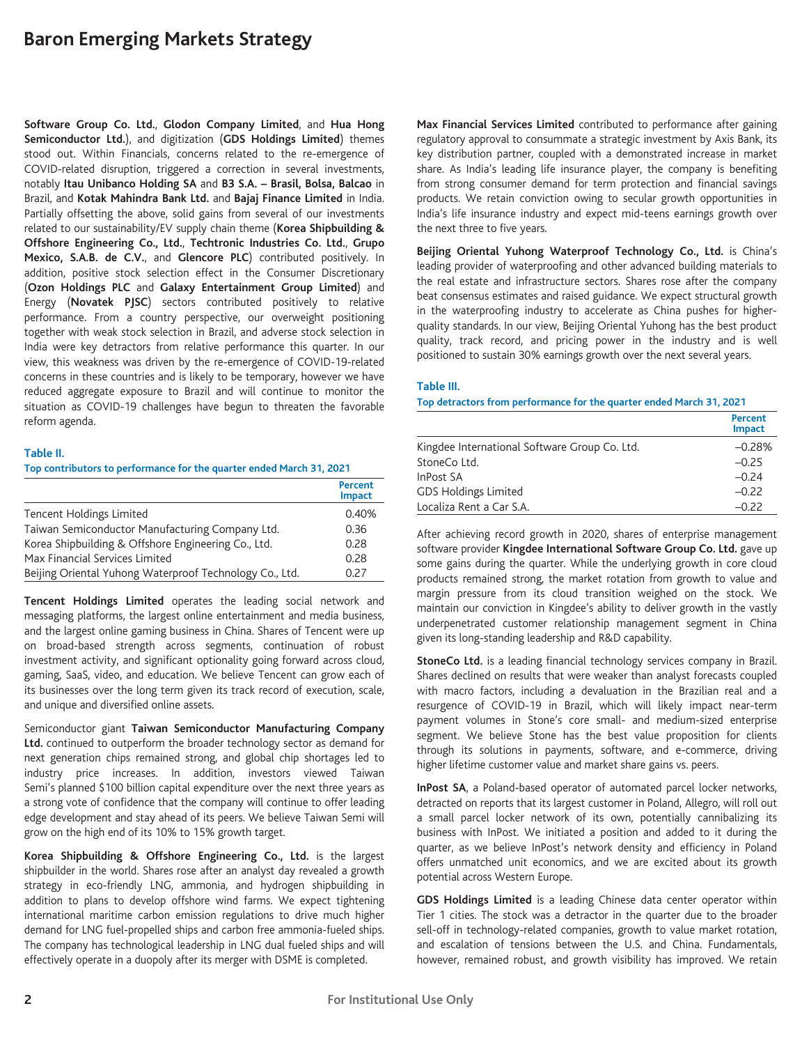**Software Group Co. Ltd.**, **Glodon Company Limited**, and **Hua Hong Semiconductor Ltd.**), and digitization (**GDS Holdings Limited**) themes stood out. Within Financials, concerns related to the re-emergence of COVID-related disruption, triggered a correction in several investments, notably **Itau Unibanco Holding SA** and **B3 S.A. – Brasil, Bolsa, Balcao** in Brazil, and **Kotak Mahindra Bank Ltd.** and **Bajaj Finance Limited** in India. Partially offsetting the above, solid gains from several of our investments related to our sustainability/EV supply chain theme (**Korea Shipbuilding & Offshore Engineering Co., Ltd.**, **Techtronic Industries Co. Ltd.**, **Grupo Mexico, S.A.B. de C.V.**, and **Glencore PLC**) contributed positively. In addition, positive stock selection effect in the Consumer Discretionary (**Ozon Holdings PLC** and **Galaxy Entertainment Group Limited**) and Energy (**Novatek PJSC**) sectors contributed positively to relative performance. From a country perspective, our overweight positioning together with weak stock selection in Brazil, and adverse stock selection in India were key detractors from relative performance this quarter. In our view, this weakness was driven by the re-emergence of COVID-19-related concerns in these countries and is likely to be temporary, however we have reduced aggregate exposure to Brazil and will continue to monitor the situation as COVID-19 challenges have begun to threaten the favorable reform agenda.

## **Table II.**

**Top contributors to performance for the quarter ended March 31, 2021**

|                                                         | <b>Percent</b><br>Impact |
|---------------------------------------------------------|--------------------------|
| Tencent Holdings Limited                                | 0.40%                    |
| Taiwan Semiconductor Manufacturing Company Ltd.         | 0.36                     |
| Korea Shipbuilding & Offshore Engineering Co., Ltd.     | 0.28                     |
| Max Financial Services Limited                          | 0.28                     |
| Beijing Oriental Yuhong Waterproof Technology Co., Ltd. | 0.27                     |

**Tencent Holdings Limited** operates the leading social network and messaging platforms, the largest online entertainment and media business, and the largest online gaming business in China. Shares of Tencent were up on broad-based strength across segments, continuation of robust investment activity, and significant optionality going forward across cloud, gaming, SaaS, video, and education. We believe Tencent can grow each of its businesses over the long term given its track record of execution, scale, and unique and diversified online assets.

Semiconductor giant **Taiwan Semiconductor Manufacturing Company Ltd.** continued to outperform the broader technology sector as demand for next generation chips remained strong, and global chip shortages led to industry price increases. In addition, investors viewed Taiwan Semi's planned \$100 billion capital expenditure over the next three years as a strong vote of confidence that the company will continue to offer leading edge development and stay ahead of its peers. We believe Taiwan Semi will grow on the high end of its 10% to 15% growth target.

**Korea Shipbuilding & Offshore Engineering Co., Ltd.** is the largest shipbuilder in the world. Shares rose after an analyst day revealed a growth strategy in eco-friendly LNG, ammonia, and hydrogen shipbuilding in addition to plans to develop offshore wind farms. We expect tightening international maritime carbon emission regulations to drive much higher demand for LNG fuel-propelled ships and carbon free ammonia-fueled ships. The company has technological leadership in LNG dual fueled ships and will effectively operate in a duopoly after its merger with DSME is completed.

**Max Financial Services Limited** contributed to performance after gaining regulatory approval to consummate a strategic investment by Axis Bank, its key distribution partner, coupled with a demonstrated increase in market share. As India's leading life insurance player, the company is benefiting from strong consumer demand for term protection and financial savings products. We retain conviction owing to secular growth opportunities in India's life insurance industry and expect mid-teens earnings growth over the next three to five years.

**Beijing Oriental Yuhong Waterproof Technology Co., Ltd.** is China's leading provider of waterproofing and other advanced building materials to the real estate and infrastructure sectors. Shares rose after the company beat consensus estimates and raised guidance. We expect structural growth in the waterproofing industry to accelerate as China pushes for higherquality standards. In our view, Beijing Oriental Yuhong has the best product quality, track record, and pricing power in the industry and is well positioned to sustain 30% earnings growth over the next several years.

#### **Table III.**

**Top detractors from performance for the quarter ended March 31, 2021**

|                                               | <b>Percent</b><br><b>Impact</b> |
|-----------------------------------------------|---------------------------------|
| Kingdee International Software Group Co. Ltd. | $-0.28%$                        |
| StoneCo Ltd.                                  | $-0.25$                         |
| InPost SA                                     | $-0.24$                         |
| <b>GDS Holdings Limited</b>                   | $-0.22$                         |
| Localiza Rent a Car S.A.                      | $-0.22$                         |

After achieving record growth in 2020, shares of enterprise management software provider **Kingdee International Software Group Co. Ltd.** gave up some gains during the quarter. While the underlying growth in core cloud products remained strong, the market rotation from growth to value and margin pressure from its cloud transition weighed on the stock. We maintain our conviction in Kingdee's ability to deliver growth in the vastly underpenetrated customer relationship management segment in China given its long-standing leadership and R&D capability.

**StoneCo Ltd.** is a leading financial technology services company in Brazil. Shares declined on results that were weaker than analyst forecasts coupled with macro factors, including a devaluation in the Brazilian real and a resurgence of COVID-19 in Brazil, which will likely impact near-term payment volumes in Stone's core small- and medium-sized enterprise segment. We believe Stone has the best value proposition for clients through its solutions in payments, software, and e-commerce, driving higher lifetime customer value and market share gains vs. peers.

**InPost SA**, a Poland-based operator of automated parcel locker networks, detracted on reports that its largest customer in Poland, Allegro, will roll out a small parcel locker network of its own, potentially cannibalizing its business with InPost. We initiated a position and added to it during the quarter, as we believe InPost's network density and efficiency in Poland offers unmatched unit economics, and we are excited about its growth potential across Western Europe.

**GDS Holdings Limited** is a leading Chinese data center operator within Tier 1 cities. The stock was a detractor in the quarter due to the broader sell-off in technology-related companies, growth to value market rotation, and escalation of tensions between the U.S. and China. Fundamentals, however, remained robust, and growth visibility has improved. We retain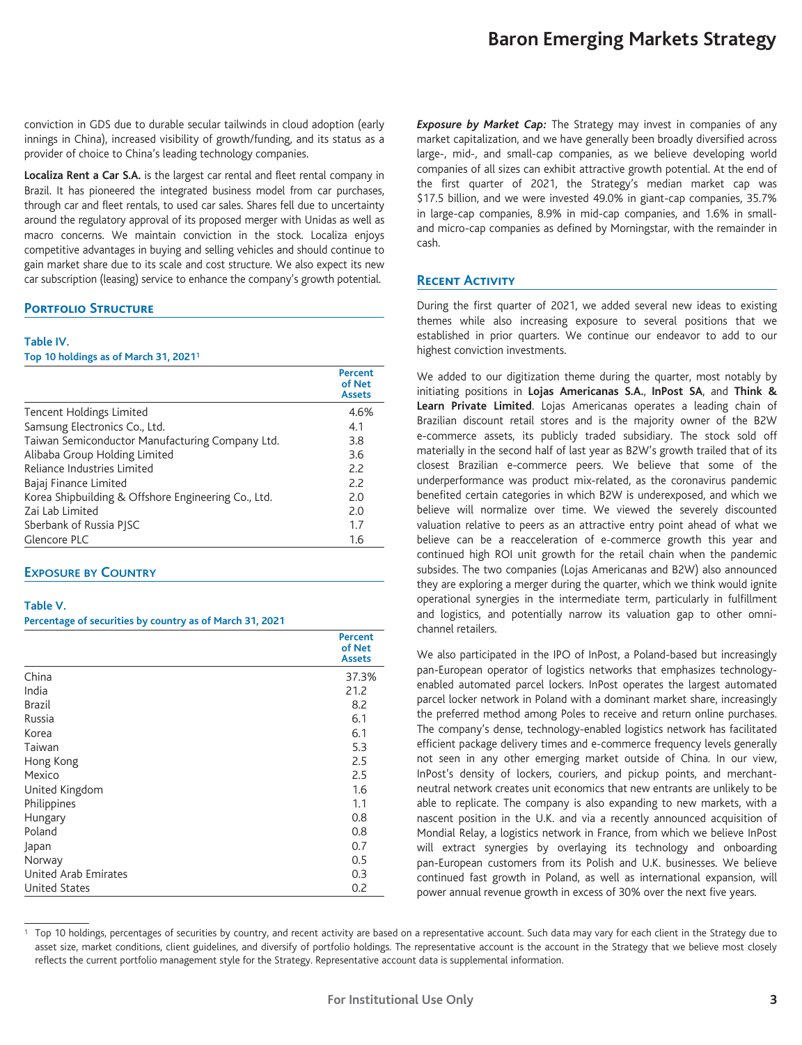conviction in GDS due to durable secular tailwinds in cloud adoption (early innings in China), increased visibility of growth/funding, and its status as a provider of choice to China's leading technology companies.

**Localiza Rent a Car S.A.** is the largest car rental and fleet rental company in Brazil. It has pioneered the integrated business model from car purchases, through car and fleet rentals, to used car sales. Shares fell due to uncertainty around the regulatory approval of its proposed merger with Unidas as well as macro concerns. We maintain conviction in the stock. Localiza enjoys competitive advantages in buying and selling vehicles and should continue to gain market share due to its scale and cost structure. We also expect its new car subscription (leasing) service to enhance the company's growth potential.

# **Portfolio Structure**

#### **Table IV.**

**Top 10 holdings as of March 31, 20211**

|                                                     | Percent<br>of Net<br><b>Assets</b> |
|-----------------------------------------------------|------------------------------------|
| Tencent Holdings Limited                            | 4.6%                               |
| Samsung Electronics Co., Ltd.                       | 4.1                                |
| Taiwan Semiconductor Manufacturing Company Ltd.     | 3.8                                |
| Alibaba Group Holding Limited                       | 3.6                                |
| Reliance Industries Limited                         | 2.2                                |
| Bajaj Finance Limited                               | 2.2                                |
| Korea Shipbuilding & Offshore Engineering Co., Ltd. | 2.0                                |
| Zai Lab Limited                                     | 2.0                                |
| Sberbank of Russia PISC                             | 1.7                                |
| Glencore PLC                                        | 1.6                                |

## **EXPOSURE BY COUNTRY**

#### **Table V.**

#### **Percentage of securities by country as of March 31, 2021**

|                      | <b>Percent</b><br>of Net<br><b>Assets</b> |
|----------------------|-------------------------------------------|
| China                | 37.3%                                     |
| India                | 21.2                                      |
| <b>Brazil</b>        | 8.2                                       |
| Russia               | 6.1                                       |
| Korea                | 6.1                                       |
| Taiwan               | 5.3                                       |
| Hong Kong            | 2.5                                       |
| Mexico               | 2.5                                       |
| United Kingdom       | 1.6                                       |
| Philippines          | 1.1                                       |
| Hungary              | 0.8                                       |
| Poland               | 0.8                                       |
| Japan                | 0.7                                       |
| Norway               | 0.5                                       |
| United Arab Emirates | 0.3                                       |
| <b>United States</b> | 0.2                                       |

*Exposure by Market Cap:* The Strategy may invest in companies of any market capitalization, and we have generally been broadly diversified across large-, mid-, and small-cap companies, as we believe developing world companies of all sizes can exhibit attractive growth potential. At the end of the first quarter of 2021, the Strategy's median market cap was \$17.5 billion, and we were invested 49.0% in giant-cap companies, 35.7% in large-cap companies, 8.9% in mid-cap companies, and 1.6% in smalland micro-cap companies as defined by Morningstar, with the remainder in cash.

# **Recent Activity**

During the first quarter of 2021, we added several new ideas to existing themes while also increasing exposure to several positions that we established in prior quarters. We continue our endeavor to add to our highest conviction investments.

We added to our digitization theme during the quarter, most notably by initiating positions in **Lojas Americanas S.A.**, **InPost SA**, and **Think & Learn Private Limited**. Lojas Americanas operates a leading chain of Brazilian discount retail stores and is the majority owner of the B2W e-commerce assets, its publicly traded subsidiary. The stock sold off materially in the second half of last year as B2W's growth trailed that of its closest Brazilian e-commerce peers. We believe that some of the underperformance was product mix-related, as the coronavirus pandemic benefited certain categories in which B2W is underexposed, and which we believe will normalize over time. We viewed the severely discounted valuation relative to peers as an attractive entry point ahead of what we believe can be a reacceleration of e-commerce growth this year and continued high ROI unit growth for the retail chain when the pandemic subsides. The two companies (Lojas Americanas and B2W) also announced they are exploring a merger during the quarter, which we think would ignite operational synergies in the intermediate term, particularly in fulfillment and logistics, and potentially narrow its valuation gap to other omnichannel retailers.

We also participated in the IPO of InPost, a Poland-based but increasingly pan-European operator of logistics networks that emphasizes technologyenabled automated parcel lockers. InPost operates the largest automated parcel locker network in Poland with a dominant market share, increasingly the preferred method among Poles to receive and return online purchases. The company's dense, technology-enabled logistics network has facilitated efficient package delivery times and e-commerce frequency levels generally not seen in any other emerging market outside of China. In our view, InPost's density of lockers, couriers, and pickup points, and merchantneutral network creates unit economics that new entrants are unlikely to be able to replicate. The company is also expanding to new markets, with a nascent position in the U.K. and via a recently announced acquisition of Mondial Relay, a logistics network in France, from which we believe InPost will extract synergies by overlaying its technology and onboarding pan-European customers from its Polish and U.K. businesses. We believe continued fast growth in Poland, as well as international expansion, will power annual revenue growth in excess of 30% over the next five years.

<sup>&</sup>lt;sup>1</sup> Top 10 holdings, percentages of securities by country, and recent activity are based on a representative account. Such data may vary for each client in the Strategy due to asset size, market conditions, client guidelines, and diversify of portfolio holdings. The representative account is the account in the Strategy that we believe most closely reflects the current portfolio management style for the Strategy. Representative account data is supplemental information.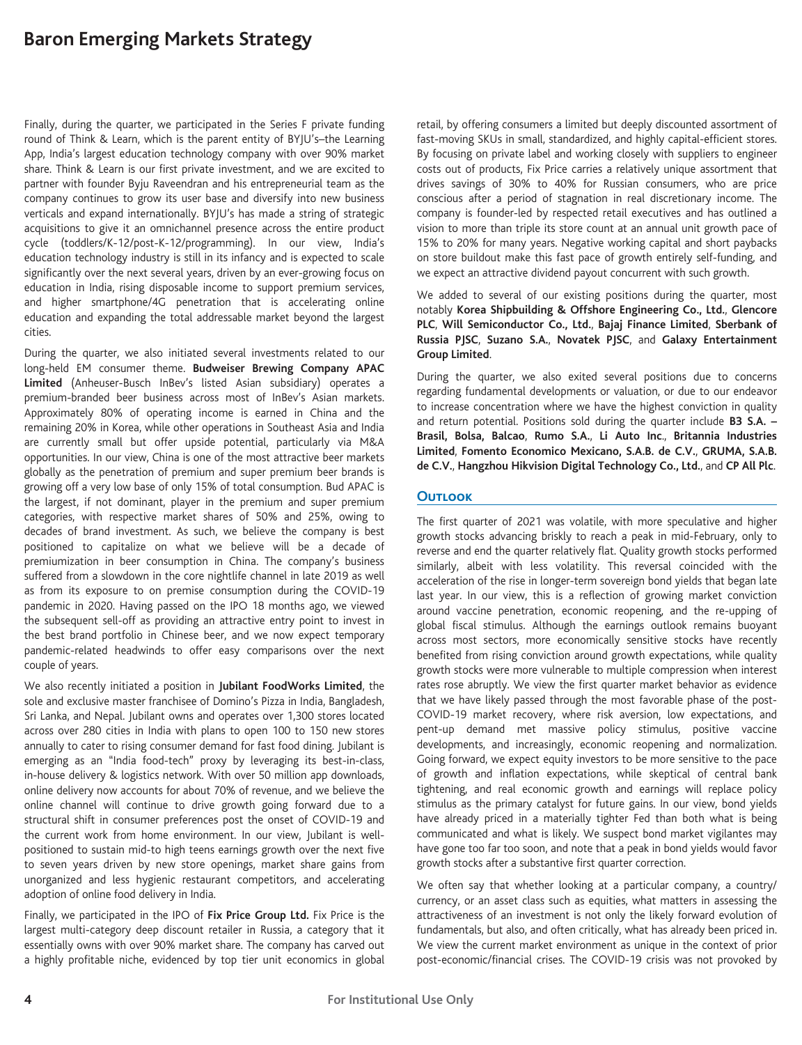Finally, during the quarter, we participated in the Series F private funding round of Think & Learn, which is the parent entity of BYJU's–the Learning App, India's largest education technology company with over 90% market share. Think & Learn is our first private investment, and we are excited to partner with founder Byju Raveendran and his entrepreneurial team as the company continues to grow its user base and diversify into new business verticals and expand internationally. BYJU's has made a string of strategic acquisitions to give it an omnichannel presence across the entire product cycle (toddlers/K-12/post-K-12/programming). In our view, India's education technology industry is still in its infancy and is expected to scale significantly over the next several years, driven by an ever-growing focus on education in India, rising disposable income to support premium services, and higher smartphone/4G penetration that is accelerating online education and expanding the total addressable market beyond the largest cities.

During the quarter, we also initiated several investments related to our long-held EM consumer theme. **Budweiser Brewing Company APAC Limited** (Anheuser-Busch InBev's listed Asian subsidiary) operates a premium-branded beer business across most of InBev's Asian markets. Approximately 80% of operating income is earned in China and the remaining 20% in Korea, while other operations in Southeast Asia and India are currently small but offer upside potential, particularly via M&A opportunities. In our view, China is one of the most attractive beer markets globally as the penetration of premium and super premium beer brands is growing off a very low base of only 15% of total consumption. Bud APAC is the largest, if not dominant, player in the premium and super premium categories, with respective market shares of 50% and 25%, owing to decades of brand investment. As such, we believe the company is best positioned to capitalize on what we believe will be a decade of premiumization in beer consumption in China. The company's business suffered from a slowdown in the core nightlife channel in late 2019 as well as from its exposure to on premise consumption during the COVID-19 pandemic in 2020. Having passed on the IPO 18 months ago, we viewed the subsequent sell-off as providing an attractive entry point to invest in the best brand portfolio in Chinese beer, and we now expect temporary pandemic-related headwinds to offer easy comparisons over the next couple of years.

We also recently initiated a position in **Jubilant FoodWorks Limited**, the sole and exclusive master franchisee of Domino's Pizza in India, Bangladesh, Sri Lanka, and Nepal. Jubilant owns and operates over 1,300 stores located across over 280 cities in India with plans to open 100 to 150 new stores annually to cater to rising consumer demand for fast food dining. Jubilant is emerging as an "India food-tech" proxy by leveraging its best-in-class, in-house delivery & logistics network. With over 50 million app downloads, online delivery now accounts for about 70% of revenue, and we believe the online channel will continue to drive growth going forward due to a structural shift in consumer preferences post the onset of COVID-19 and the current work from home environment. In our view, Jubilant is wellpositioned to sustain mid-to high teens earnings growth over the next five to seven years driven by new store openings, market share gains from unorganized and less hygienic restaurant competitors, and accelerating adoption of online food delivery in India.

Finally, we participated in the IPO of **Fix Price Group Ltd.** Fix Price is the largest multi-category deep discount retailer in Russia, a category that it essentially owns with over 90% market share. The company has carved out a highly profitable niche, evidenced by top tier unit economics in global

retail, by offering consumers a limited but deeply discounted assortment of fast-moving SKUs in small, standardized, and highly capital-efficient stores. By focusing on private label and working closely with suppliers to engineer costs out of products, Fix Price carries a relatively unique assortment that drives savings of 30% to 40% for Russian consumers, who are price conscious after a period of stagnation in real discretionary income. The company is founder-led by respected retail executives and has outlined a vision to more than triple its store count at an annual unit growth pace of 15% to 20% for many years. Negative working capital and short paybacks on store buildout make this fast pace of growth entirely self-funding, and we expect an attractive dividend payout concurrent with such growth.

We added to several of our existing positions during the quarter, most notably **Korea Shipbuilding & Offshore Engineering Co., Ltd.**, **Glencore PLC**, **Will Semiconductor Co., Ltd.**, **Bajaj Finance Limited**, **Sberbank of Russia PJSC**, **Suzano S.A.**, **Novatek PJSC**, and **Galaxy Entertainment Group Limited**.

During the quarter, we also exited several positions due to concerns regarding fundamental developments or valuation, or due to our endeavor to increase concentration where we have the highest conviction in quality and return potential. Positions sold during the quarter include **B3 S.A. – Brasil, Bolsa, Balcao**, **Rumo S.A.**, **Li Auto Inc**., **Britannia Industries Limited**, **Fomento Economico Mexicano, S.A.B. de C.V.**, **GRUMA, S.A.B. de C.V.**, **Hangzhou Hikvision Digital Technology Co., Ltd.**, and **CP All Plc**.

# **Outlook**

The first quarter of 2021 was volatile, with more speculative and higher growth stocks advancing briskly to reach a peak in mid-February, only to reverse and end the quarter relatively flat. Quality growth stocks performed similarly, albeit with less volatility. This reversal coincided with the acceleration of the rise in longer-term sovereign bond yields that began late last year. In our view, this is a reflection of growing market conviction around vaccine penetration, economic reopening, and the re-upping of global fiscal stimulus. Although the earnings outlook remains buoyant across most sectors, more economically sensitive stocks have recently benefited from rising conviction around growth expectations, while quality growth stocks were more vulnerable to multiple compression when interest rates rose abruptly. We view the first quarter market behavior as evidence that we have likely passed through the most favorable phase of the post-COVID-19 market recovery, where risk aversion, low expectations, and pent-up demand met massive policy stimulus, positive vaccine developments, and increasingly, economic reopening and normalization. Going forward, we expect equity investors to be more sensitive to the pace of growth and inflation expectations, while skeptical of central bank tightening, and real economic growth and earnings will replace policy stimulus as the primary catalyst for future gains. In our view, bond yields have already priced in a materially tighter Fed than both what is being communicated and what is likely. We suspect bond market vigilantes may have gone too far too soon, and note that a peak in bond yields would favor growth stocks after a substantive first quarter correction.

We often say that whether looking at a particular company, a country/ currency, or an asset class such as equities, what matters in assessing the attractiveness of an investment is not only the likely forward evolution of fundamentals, but also, and often critically, what has already been priced in. We view the current market environment as unique in the context of prior post-economic/financial crises. The COVID-19 crisis was not provoked by